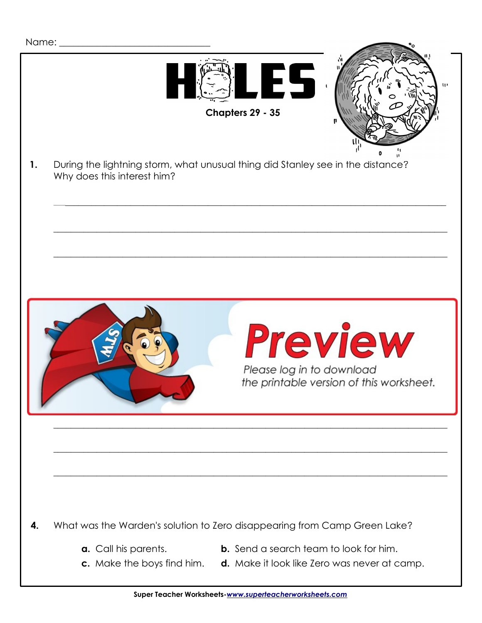

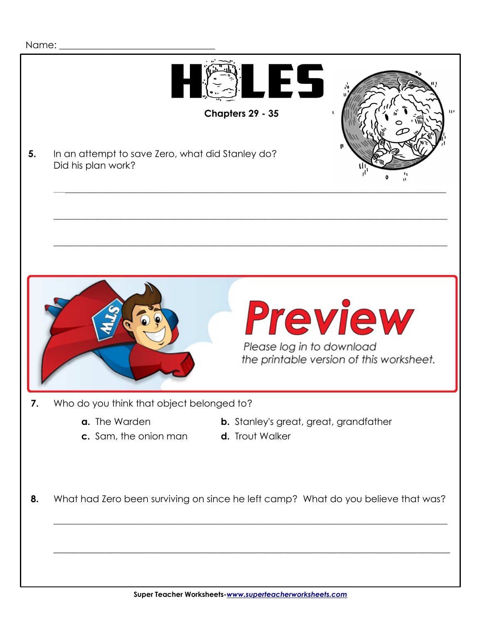## Name: \_\_\_\_\_\_\_\_\_\_\_\_\_\_\_\_\_\_\_\_\_\_\_\_\_\_\_\_\_\_\_\_\_



**8.** What had Zero been surviving on since he left camp? What do you believe that was?

\_\_\_\_\_\_\_\_\_\_\_\_\_\_\_\_\_\_\_\_\_\_\_\_\_\_\_\_\_\_\_\_\_\_\_\_\_\_\_\_\_\_\_\_\_\_\_\_\_\_\_\_\_\_\_\_\_\_\_\_\_\_\_\_\_\_\_\_\_\_\_\_\_\_\_\_\_\_\_\_\_\_\_\_\_\_\_\_\_\_\_

 $\_$  , and the set of the set of the set of the set of the set of the set of the set of the set of the set of the set of the set of the set of the set of the set of the set of the set of the set of the set of the set of th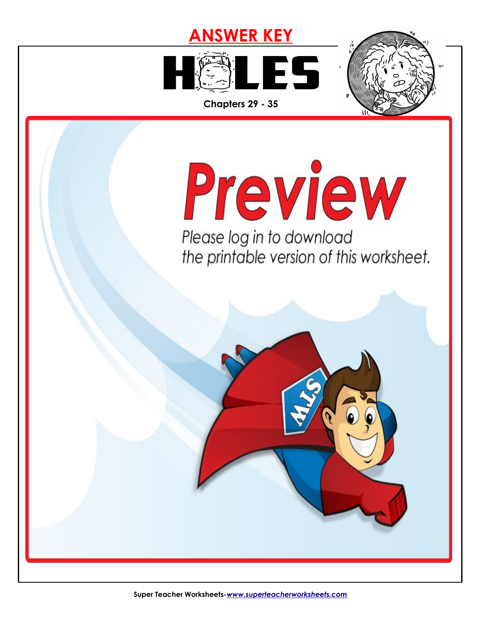

**1.** During the lightning storm, what unusual thing did Stanley see in the distance? Why



## **During the lightning storm Stanley noticed an unusual rock formation at the top of a mountain peak in the distance. It looked as though it was a giant fist with its thumb sticking straight up. This interested him because he recalled his great grandfather saying that he found refuge on God's thumb after he was robbed and left for dead by Please log in to download** the printable version of this worksheet.  **2.** Why are the boys giving Stanley a hard time? **a c.** He's overweight. **details** and the Warden. **Afraid of the Warden.**

 **4.** What was the Warden's solution to Zero disappearing from Camp Green Lake? **d**

**Zero hit Mr. Pendanski in the face with a shovel. He did it because Mr. Pendanski kept saying that Zero was dumb, and most definitely too dumb to be able to learn anything. He was laughing at Zero and he told him the only thing he would ever be good at was** 

**3. What did Zero do to Mr. Pendanski**? What did Zero do to Mr. Pendanski pod to do this? What caused him to do

**digging holes. Zero was finally pushed too far.**